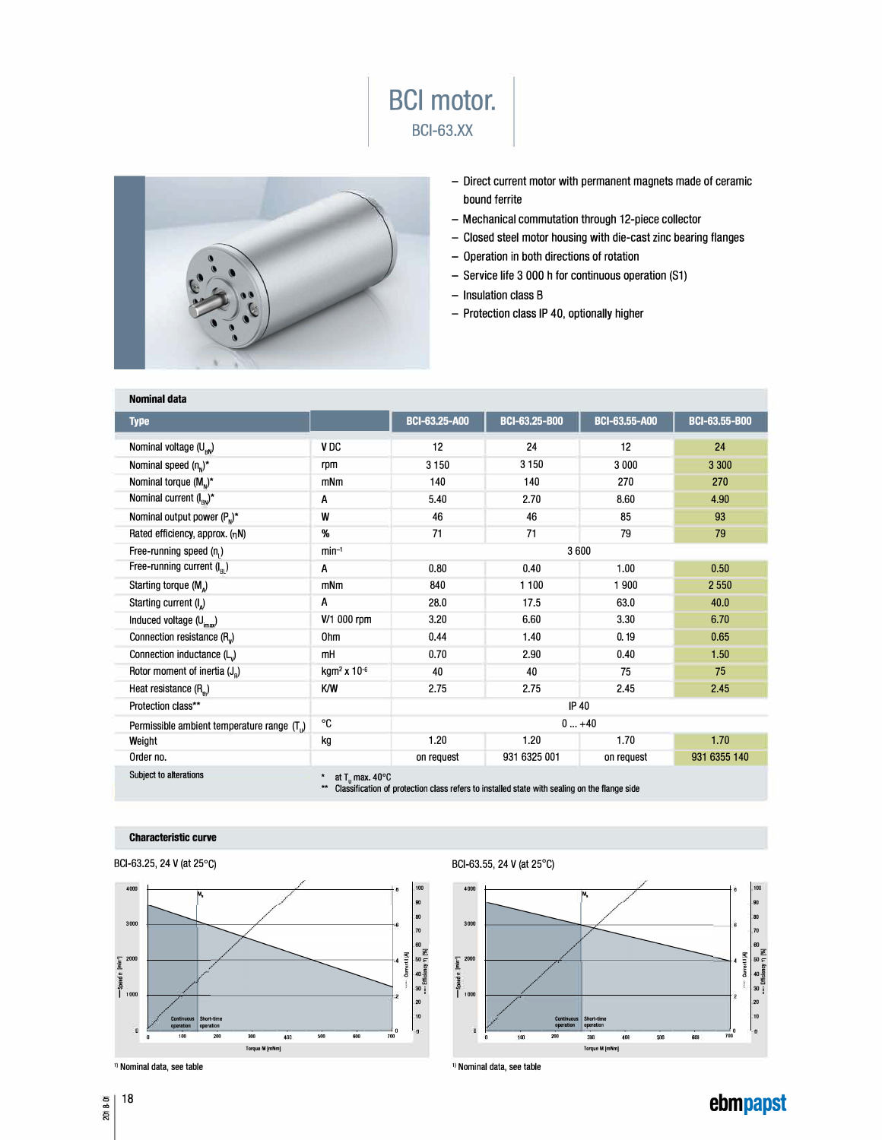



- Direct current motor with permanent magnets made of ceramic bound ferrite
- Mechanical commutation through 12-piece collector
- Closed steel motor housing with die-cast zinc bearing flanges
- Operation in both directions of rotation
- Service life 3 000 h for continuous operation (S1)
- Insulation class B
- Protection class IP 40, optionally higher

| <b>CONTRACTOR</b>                                                                                                                                             |                              |                      |                      |                      |               |
|---------------------------------------------------------------------------------------------------------------------------------------------------------------|------------------------------|----------------------|----------------------|----------------------|---------------|
|                                                                                                                                                               |                              |                      |                      |                      |               |
| <b>Nominal data</b>                                                                                                                                           |                              |                      |                      |                      |               |
| <b>Type</b>                                                                                                                                                   |                              | <b>BCI-63,25-A00</b> | <b>BCI-63,25-B00</b> | <b>BCI-63,55-A00</b> | BCI-63,55-B00 |
| Nominal voltage $(U_{\rm BV})$                                                                                                                                | V <sub>DC</sub>              | 12                   | 24                   | 12                   | 24            |
| Nominal speed $(n_n)^*$                                                                                                                                       | rpm                          | 3 1 5 0              | 3 1 5 0              | 3 0 0 0              | 3 3 0 0       |
| Nominal torque $(Mn)^*$                                                                                                                                       | mNm                          | 140                  | 140                  | 270                  | 270           |
| Nominal current $(I_{\scriptscriptstyle\rm BN})^*$                                                                                                            | A                            | 5.40                 | 2.70                 | 8.60                 | 4.90          |
| Nominal output power $(P_n)^*$                                                                                                                                | W                            | 46                   | 46                   | 85                   | 93            |
| Rated efficiency, approx. (nN)                                                                                                                                | %                            | 71                   | 71                   | 79                   | 79            |
| Free-running speed $(n_1)$                                                                                                                                    | $min-1$                      | 3600                 |                      |                      |               |
| Free-running current $(I_{\infty})$                                                                                                                           | A                            | 0.80                 | 0.40                 | 1.00                 | 0,50          |
| Starting torque (M <sub>a</sub> )                                                                                                                             | mNm                          | 840                  | 1 100                | 1 900                | 2 5 5 0       |
| Starting current (I <sub>a</sub> )                                                                                                                            | A                            | 28.0                 | 17.5                 | 63.0                 | 40,0          |
| Induced voltage (U <sub>imax</sub> )                                                                                                                          | V/1 000 rpm                  | 3.20                 | 6.60                 | 3.30                 | 6.70          |
| Connection resistance (R <sub>v</sub> )                                                                                                                       | 0hm                          | 0.44                 | 1.40                 | 0.19                 | 0.65          |
| Connection inductance (L)                                                                                                                                     | mH                           | 0.70                 | 2.90                 | 0.40                 | 1.50          |
| Rotor moment of inertia $(J_n)$                                                                                                                               | kgm <sup>2</sup> x $10^{-6}$ | 40                   | 40                   | 75                   | 75            |
| Heat resistance $(Rth)$                                                                                                                                       | K/W                          | 2.75                 | 2.75                 | 2.45                 | 2.45          |
| Protection class**                                                                                                                                            |                              | <b>IP 40</b>         |                      |                      |               |
| Permissible ambient temperature range (T <sub>i</sub> )                                                                                                       | ℃                            | $0+40$               |                      |                      |               |
| Weight                                                                                                                                                        | kg                           | 1.20                 | 1.20                 | 1.70                 | 1.70          |
| Order no.                                                                                                                                                     |                              | on request           | 931 6325 001         | on request           | 931 6355 140  |
| Subject to alterations<br>at $T_{\text{u}}$ max. 40°C<br>Classification of protection class refers to installed state with sealing on the flange side<br>$**$ |                              |                      |                      |                      |               |

## **Characteristic curve**





BCl-63.55, 24 V (at 25° C)



**ebmpapst** 

<sup>0</sup>18 2018-0